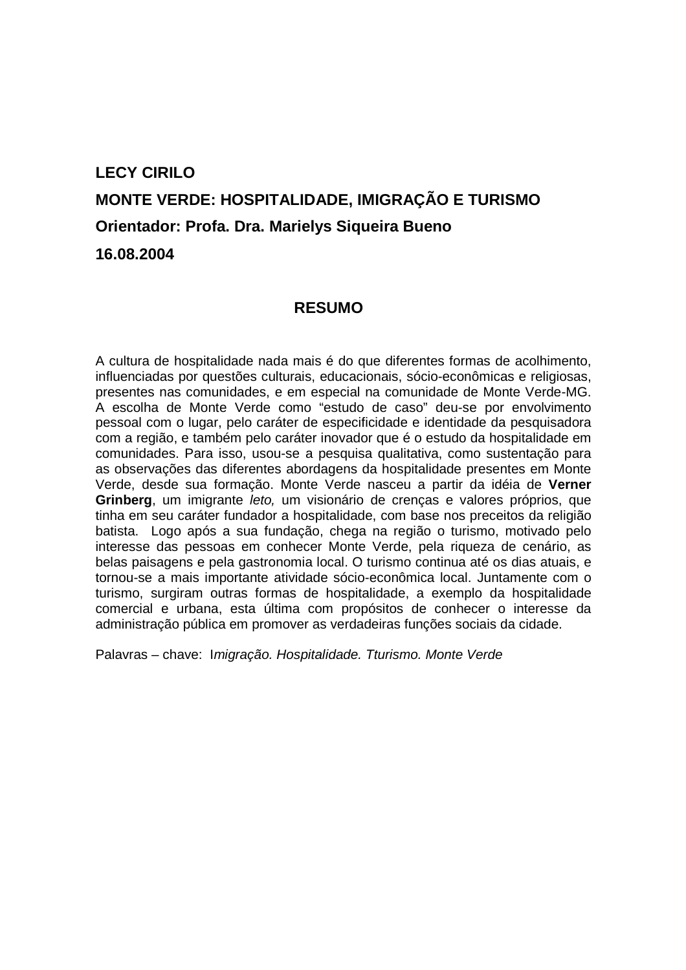## **LECY CIRILO MONTE VERDE: HOSPITALIDADE, IMIGRAÇÃO E TURISMO Orientador: Profa. Dra. Marielys Siqueira Bueno 16.08.2004**

### **RESUMO**

A cultura de hospitalidade nada mais é do que diferentes formas de acolhimento, influenciadas por questões culturais, educacionais, sócio-econômicas e religiosas, presentes nas comunidades, e em especial na comunidade de Monte Verde-MG. A escolha de Monte Verde como "estudo de caso" deu-se por envolvimento pessoal com o lugar, pelo caráter de especificidade e identidade da pesquisadora com a região, e também pelo caráter inovador que é o estudo da hospitalidade em comunidades. Para isso, usou-se a pesquisa qualitativa, como sustentação para as observações das diferentes abordagens da hospitalidade presentes em Monte Verde, desde sua formação. Monte Verde nasceu a partir da idéia de **Verner Grinberg**, um imigrante leto, um visionário de crenças e valores próprios, que tinha em seu caráter fundador a hospitalidade, com base nos preceitos da religião batista. Logo após a sua fundação, chega na região o turismo, motivado pelo interesse das pessoas em conhecer Monte Verde, pela riqueza de cenário, as belas paisagens e pela gastronomia local. O turismo continua até os dias atuais, e tornou-se a mais importante atividade sócio-econômica local. Juntamente com o turismo, surgiram outras formas de hospitalidade, a exemplo da hospitalidade comercial e urbana, esta última com propósitos de conhecer o interesse da administração pública em promover as verdadeiras funções sociais da cidade.

Palavras – chave: Imigração. Hospitalidade. Tturismo. Monte Verde